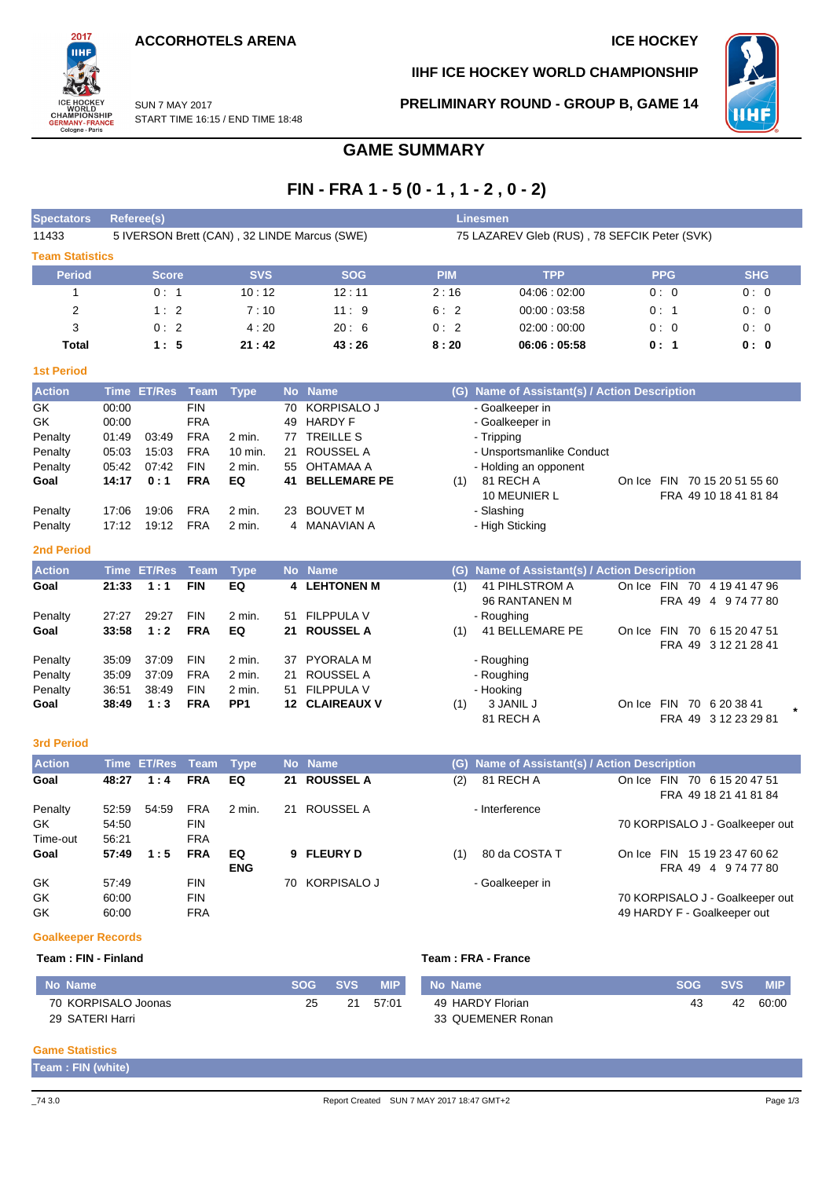**ACCORHOTELS ARENA ICE HOCKEY** 

START TIME 16:15 / END TIME 18:48

SUN 7 MAY 2017



**IIHF ICE HOCKEY WORLD CHAMPIONSHIP**

**PRELIMINARY ROUND - GROUP B, GAME 14**



# **GAME SUMMARY**

# **FIN - FRA 1 - 5 (0 - 1 , 1 - 2 , 0 - 2)**

| <b>Spectators</b>      | Referee(s)                                   |            |            | <b>Linesmen</b> |                                              |            |            |
|------------------------|----------------------------------------------|------------|------------|-----------------|----------------------------------------------|------------|------------|
| 11433                  | 5 IVERSON Brett (CAN), 32 LINDE Marcus (SWE) |            |            |                 | 75 LAZAREV Gleb (RUS), 78 SEFCIK Peter (SVK) |            |            |
| <b>Team Statistics</b> |                                              |            |            |                 |                                              |            |            |
| <b>Period</b>          | <b>Score</b>                                 | <b>SVS</b> | <b>SOG</b> | <b>PIM</b>      | <b>TPP</b>                                   | <b>PPG</b> | <b>SHG</b> |
|                        | 0:1                                          | 10:12      | 12:11      | 2:16            | 04.06:02:00                                  | 0:0        | 0:0        |
| 2                      | 1:2                                          | 7:10       | 11:9       | 6:2             | 00:00:03:58                                  | 0:1        | 0:0        |
| 3                      | 0:2                                          | 4:20       | 20:6       | 0:2             | 02:00:00:00                                  | 0:0        | 0:0        |
| Total                  | 1:5                                          | 21:42      | 43:26      | 8:20            | 06:06:05:58                                  | 0:1        | 0: 0       |
| <b>1st Period</b>      |                                              |            |            |                 |                                              |            |            |

| <b>Action</b> |       | Time ET/Res Team Type |            |          |    | No Name                |     | (G) Name of Assistant(s) / Action Description |        |            |                       |  |
|---------------|-------|-----------------------|------------|----------|----|------------------------|-----|-----------------------------------------------|--------|------------|-----------------------|--|
| GK            | 00:00 |                       | <b>FIN</b> |          |    | 70 KORPISALO J         |     | - Goalkeeper in                               |        |            |                       |  |
| GK            | 00:00 |                       | <b>FRA</b> |          |    | 49 HARDY F             |     | - Goalkeeper in                               |        |            |                       |  |
| Penalty       | 01:49 | 03:49                 | <b>FRA</b> | 2 min.   | 77 | <b>TREILLE S</b>       |     | - Tripping                                    |        |            |                       |  |
| Penalty       | 05:03 | 15:03                 | <b>FRA</b> | 10 min.  |    | 21 ROUSSEL A           |     | - Unsportsmanlike Conduct                     |        |            |                       |  |
| Penalty       | 05:42 | 07:42                 | <b>FIN</b> | $2$ min. |    | 55 OHTAMAA A           |     | - Holding an opponent                         |        |            |                       |  |
| Goal          | 14:17 | 0:1                   | <b>FRA</b> | EQ       |    | <b>41 BELLEMARE PE</b> | (1) | 81 RECH A                                     | On Ice | <b>FIN</b> | 70 15 20 51 55 60     |  |
|               |       |                       |            |          |    |                        |     | 10 MEUNIER L                                  |        |            | FRA 49 10 18 41 81 84 |  |
| Penalty       | 17:06 | 19:06                 | FRA        | 2 min.   |    | 23 BOUVET M            |     | - Slashing                                    |        |            |                       |  |
| Penalty       | 17:12 | 19:12                 | <b>FRA</b> | 2 min.   |    | 4 MANAVIAN A           |     | - High Sticking                               |        |            |                       |  |

#### **2nd Period**

| <b>Action</b> |       | Time ET/Res Team |            | <b>Type</b>     |     | No Name               |     | (G) Name of Assistant(s) / Action Description |            |                  |                               |  |
|---------------|-------|------------------|------------|-----------------|-----|-----------------------|-----|-----------------------------------------------|------------|------------------|-------------------------------|--|
| Goal          | 21:33 | 1:1              | <b>FIN</b> | EQ              |     | 4 LEHTONEN M          | (1) | 41 PIHLSTROM A<br>96 RANTANEN M               | On Ice FIN | 70<br>FRA 49     | 4 19 41 47 96<br>4 9 74 77 80 |  |
| Penalty       | 27:27 | 29:27            | <b>FIN</b> | 2 min.          | 51  | <b>FILPPULA V</b>     |     | - Roughing                                    |            |                  |                               |  |
| Goal          | 33:58 | 1:2              | <b>FRA</b> | EQ              | 21. | <b>ROUSSEL A</b>      | (1) | 41 BELLEMARE PE                               | On Ice     | <b>FIN</b><br>70 | 6 15 20 47 51                 |  |
|               |       |                  |            |                 |     |                       |     |                                               |            |                  | FRA 49 3 12 21 28 41          |  |
| Penalty       | 35:09 | 37:09            | <b>FIN</b> | 2 min.          | 37  | PYORALA M             |     | - Roughing                                    |            |                  |                               |  |
| Penalty       | 35.09 | 37:09            | <b>FRA</b> | 2 min.          | 21  | ROUSSEL A             |     | - Roughing                                    |            |                  |                               |  |
| Penalty       | 36:51 | 38.49            | <b>FIN</b> | $2$ min.        | 51  | <b>FILPPULA V</b>     |     | - Hooking                                     |            |                  |                               |  |
| Goal          | 38:49 | 1:3              | <b>FRA</b> | PP <sub>1</sub> |     | <b>12 CLAIREAUX V</b> | (1) | 3 JANIL J                                     | On Ice     | FIN              | 70 6 20 38 41                 |  |
|               |       |                  |            |                 |     |                       |     | 81 RECH A                                     |            |                  | FRA 49 3 12 23 29 81          |  |

#### **3rd Period**

| <b>Action</b> |       | Time ET/Res Team Type, |            |            |     | No Name      |     | (G) Name of Assistant(s) / Action Description |            |        |                             |                                 |  |
|---------------|-------|------------------------|------------|------------|-----|--------------|-----|-----------------------------------------------|------------|--------|-----------------------------|---------------------------------|--|
| Goal          | 48:27 | 1:4                    | <b>FRA</b> | EQ         |     | 21 ROUSSEL A | (2) | 81 RECH A                                     | On Ice FIN |        | 70 6 15 20 47 51            |                                 |  |
|               |       |                        |            |            |     |              |     |                                               |            |        | FRA 49 18 21 41 81 84       |                                 |  |
| Penalty       | 52:59 | 54:59                  | <b>FRA</b> | 2 min.     | 21  | ROUSSEL A    |     | - Interference                                |            |        |                             |                                 |  |
| GK.           | 54:50 |                        | <b>FIN</b> |            |     |              |     |                                               |            |        |                             | 70 KORPISALO J - Goalkeeper out |  |
| Time-out      | 56:21 |                        | <b>FRA</b> |            |     |              |     |                                               |            |        |                             |                                 |  |
| Goal          | 57:49 | 1:5                    | <b>FRA</b> | EQ         |     | 9 FLEURY D   | (1) | 80 da COSTA T                                 | On Ice FIN |        |                             | 15 19 23 47 60 62               |  |
|               |       |                        |            | <b>ENG</b> |     |              |     |                                               |            | FRA 49 | 4 9 74 77 80                |                                 |  |
| GK            | 57:49 |                        | <b>FIN</b> |            | 70. | KORPISALO J  |     | - Goalkeeper in                               |            |        |                             |                                 |  |
| GK            | 60:00 |                        | <b>FIN</b> |            |     |              |     |                                               |            |        |                             | 70 KORPISALO J - Goalkeeper out |  |
| GK            | 60:00 |                        | <b>FRA</b> |            |     |              |     |                                               |            |        | 49 HARDY F - Goalkeeper out |                                 |  |

#### **Goalkeeper Records**

| Team : FIN - Finland |            |            |            | Team: FRA - France |    |         |            |  |  |  |  |
|----------------------|------------|------------|------------|--------------------|----|---------|------------|--|--|--|--|
| No Name              | <b>SOG</b> | <b>SVS</b> | <b>WIP</b> | No Name            |    | SOG SVS | <b>MIP</b> |  |  |  |  |
| 70 KORPISALO Joonas  | 25         | 21         | 57:01      | 49 HARDY Florian   | 43 | 42      | 60:00      |  |  |  |  |
| 29 SATERI Harri      |            |            |            | 33 QUEMENER Ronan  |    |         |            |  |  |  |  |

### **Game Statistics**

**Team : FIN (white)**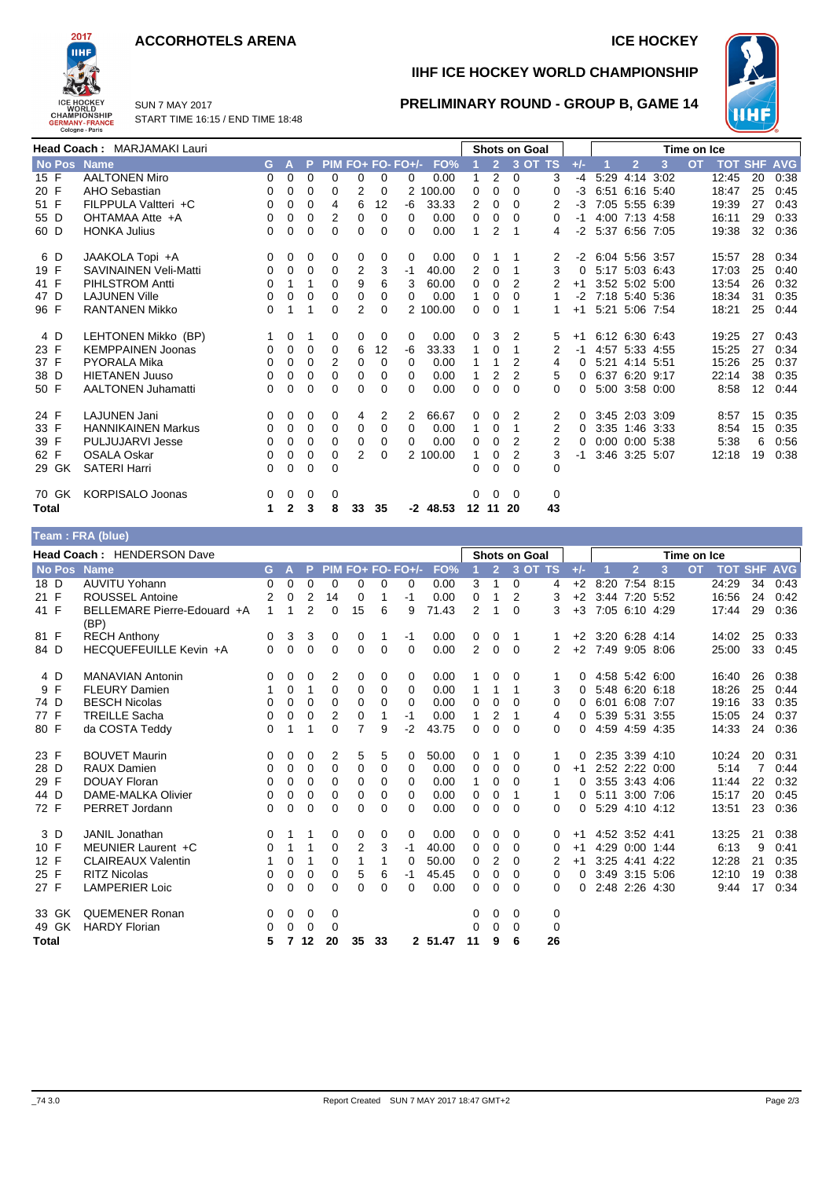### **ACCORHOTELS ARENA ICE HOCKEY**



SUN 7 MAY 2017 START TIME 16:15 / END TIME 18:48

# **IIHF ICE HOCKEY WORLD CHAMPIONSHIP**



**PRELIMINARY ROUND - GROUP B, GAME 14**

|             | <b>Head Coach: MARJAMAKI Lauri</b> |    |              |             |          |                |          |                   |            |          |                | <b>Shots on Goal</b> |                |          |                |                      |           | Time on Ice |                    |    |      |
|-------------|------------------------------------|----|--------------|-------------|----------|----------------|----------|-------------------|------------|----------|----------------|----------------------|----------------|----------|----------------|----------------------|-----------|-------------|--------------------|----|------|
| No Pos Name |                                    | G. | $\mathbf{A}$ | P.          |          |                |          | PIM FO+ FO- FO+/- | FO%        |          | $\overline{2}$ |                      | 3 OT TS        | $+/-$    |                | $\overline{2}$       | 3         | <b>OT</b>   | <b>TOT SHF AVG</b> |    |      |
| 15 F        | <b>AALTONEN Miro</b>               | 0  | 0            | $\Omega$    | $\Omega$ | 0              | $\Omega$ | 0                 | 0.00       |          | 2              | 0                    | 3              | $-4$     | 5:29           |                      | 4:14 3:02 |             | 12:45              | 20 | 0:38 |
| 20 F        | AHO Sebastian                      | 0  | 0            | 0           | 0        | 2              | 0        | $\overline{2}$    | 100.00     | 0        | 0              | 0                    | 0              | -3       |                | 6:51 6:16 5:40       |           |             | 18:47              | 25 | 0:45 |
| 51 F        | FILPPULA Valtteri +C               | 0  | 0            | 0           | 4        | 6              | 12       | -6                | 33.33      | 2        | 0              | 0                    | 2              | $-3$     |                | 7:05 5:55 6:39       |           |             | 19:39              | 27 | 0:43 |
| 55 D        | OHTAMAA Atte +A                    | 0  | 0            | 0           | 2        | 0              | $\Omega$ | 0                 | 0.00       | 0        | 0              | 0                    | 0              | -1       |                | 4:00 7:13 4:58       |           |             | 16:11              | 29 | 0:33 |
| 60 D        | <b>HONKA Julius</b>                | 0  | $\Omega$     | $\Omega$    | $\Omega$ | $\Omega$       | 0        | 0                 | 0.00       |          | 2              |                      | 4              | -2       |                | 5:37 6:56 7:05       |           |             | 19:38              | 32 | 0:36 |
| 6 D         | JAAKOLA Topi +A                    | 0  | 0            | 0           | 0        | 0              | 0        | 0                 | 0.00       | 0        |                |                      | $\overline{2}$ | $-2$     |                | 6:04 5:56 3:57       |           |             | 15:57              | 28 | 0:34 |
| 19 F        | <b>SAVINAINEN Veli-Matti</b>       | 0  | 0            | 0           | 0        | 2              | 3        | $-1$              | 40.00      | 2        | 0              |                      | 3              | $\Omega$ |                | 5:17 5:03 6:43       |           |             | 17:03              | 25 | 0:40 |
| 41 F        | <b>PIHLSTROM Antti</b>             | 0  |              |             | $\Omega$ | 9              | 6        | 3                 | 60.00      | 0        | 0              | 2                    |                | $+1$     |                | 3:52 5:02 5:00       |           |             | 13:54              | 26 | 0:32 |
| 47 D        | <b>LAJUNEN Ville</b>               | 0  | 0            | 0           | 0        | 0              | 0        | 0                 | 0.00       | 1        | 0              | 0                    | 1              | $-2$     | 7:18 5:40 5:36 |                      |           |             | 18:34              | 31 | 0:35 |
| 96 F        | <b>RANTANEN Mikko</b>              | 0  |              |             | 0        | $\overline{2}$ | 0        |                   | 2 100.00   | 0        | 0              |                      |                | $+1$     |                | 5:21 5:06 7:54       |           |             | 18:21              | 25 | 0:44 |
| 4 D         | LEHTONEN Mikko (BP)                |    | 0            |             | 0        | 0              | 0        | 0                 | 0.00       | 0        | 3              | 2                    | 5              | $+1$     |                | 6:12 6:30 6:43       |           |             | 19:25              | 27 | 0:43 |
| 23 F        | <b>KEMPPAINEN Joonas</b>           | 0  | 0            | 0           | 0        | 6              | 12       | -6                | 33.33      | 1        | 0              |                      | 2              | -1       |                | 4:57 5:33 4:55       |           |             | 15:25              | 27 | 0:34 |
| 37 F        | <b>PYORALA Mika</b>                | 0  | 0            | 0           | 2        | 0              | 0        | 0                 | 0.00       |          |                | 2                    | 4              | $\Omega$ |                | 5:21 4:14 5:51       |           |             | 15:26              | 25 | 0:37 |
| 38 D        | <b>HIETANEN Juuso</b>              | 0  | 0            | 0           | 0        | 0              | 0        | 0                 | 0.00       |          | 2              | 2                    | 5              | 0        |                | 6:37 6:20 9:17       |           |             | 22:14              | 38 | 0:35 |
| 50 F        | <b>AALTONEN Juhamatti</b>          | 0  | 0            | $\Omega$    | $\Omega$ | 0              | 0        | 0                 | 0.00       | 0        | 0              | 0                    | 0              | O.       |                | 5:00 3:58 0:00       |           |             | 8:58               | 12 | 0:44 |
| 24 F        | <b>LAJUNEN Jani</b>                | 0  | 0            | 0           | 0        | 4              | 2        | 2                 | 66.67      | 0        | 0              | 2                    | 2              | $\Omega$ |                | 3:45 2:03 3:09       |           |             | 8:57               | 15 | 0:35 |
| 33 F        | <b>HANNIKAINEN Markus</b>          | 0  | 0            | 0           | 0        | 0              | 0        | 0                 | 0.00       | 1        | 0              |                      | 2              | 0        |                | 3:35 1:46 3:33       |           |             | 8:54               | 15 | 0:35 |
| 39 F        | <b>PULJUJARVI Jesse</b>            | 0  | 0            | $\Omega$    | $\Omega$ | 0              | 0        | 0                 | 0.00       | 0        | 0              | 2                    | 2              |          |                | $0:00$ $0:00$ $5:38$ |           |             | 5:38               | 6  | 0:56 |
| 62 F        | <b>OSALA Oskar</b>                 | 0  | 0            | $\mathbf 0$ | 0        | $\overline{2}$ | 0        |                   | 2 100.00   | 1        | 0              | 2                    | 3              | -1       |                | 3:46 3:25 5:07       |           |             | 12:18              | 19 | 0:38 |
| 29 GK       | <b>SATERI Harri</b>                | 0  | 0            | 0           | 0        |                |          |                   |            | 0        | 0              | 0                    | $\Omega$       |          |                |                      |           |             |                    |    |      |
| 70 GK       | <b>KORPISALO Joonas</b>            | 0  | 0            | 0           | 0        |                |          |                   |            | $\Omega$ | 0              | $\Omega$             | $\mathbf 0$    |          |                |                      |           |             |                    |    |      |
| Total       |                                    | 1  | $\mathbf{2}$ | 3           | 8        | 33             | 35       |                   | $-2$ 48.53 | 12 11    |                | 20                   | 43             |          |                |                      |           |             |                    |    |      |
|             | Team: FRA (blue)                   |    |              |             |          |                |          |                   |            |          |                |                      |                |          |                |                      |           |             |                    |    |      |

|              | Head Coach: HENDERSON Dave          |    |             |                |                |                |          |                   |         |                |                | <b>Shots on Goal</b> |                |          |                     |                |      | Time on Ice |                |    |            |
|--------------|-------------------------------------|----|-------------|----------------|----------------|----------------|----------|-------------------|---------|----------------|----------------|----------------------|----------------|----------|---------------------|----------------|------|-------------|----------------|----|------------|
| No Pos Name  |                                     | G. | W           | P.             |                |                |          | PIM FO+ FO- FO+/- | FO%     |                | $\overline{2}$ |                      | 3 OT TS        | $+/-$    |                     | $\overline{2}$ | 3    | <b>OT</b>   | <b>TOT SHF</b> |    | <b>AVG</b> |
| 18 D         | <b>AUVITU Yohann</b>                | 0  | 0           | 0              | 0              | 0              | 0        | 0                 | 0.00    | 3              | 1              | 0                    | 4              | $+2$     |                     | 8:20 7:54 8:15 |      |             | 24:29          | 34 | 0:43       |
| 21 F         | <b>ROUSSEL Antoine</b>              | 2  | 0           | 2              | 14             | 0              |          | $-1$              | 0.00    | 0              | 1              | 2                    | 3              | $+2$     |                     | 3:44 7:20 5:52 |      |             | 16:56          | 24 | 0:42       |
| 41 F         | BELLEMARE Pierre-Edouard +A<br>(BP) | 1  | 1           | $\overline{2}$ | $\Omega$       | 15             | 6        | 9                 | 71.43   | $\overline{2}$ | 1              | 0                    | 3              | $+3$     |                     | 7:05 6:10 4:29 |      |             | 17:44          | 29 | 0:36       |
| 81 F         | <b>RECH Anthony</b>                 | 0  | 3           | 3              | 0              | 0              | 1        | $-1$              | 0.00    | 0              | 0              | 1                    |                |          | $+2$ 3:20 6:28 4:14 |                |      |             | 14:02          | 25 | 0:33       |
| 84 D         | HECQUEFEUILLE Kevin +A              | 0  | $\mathbf 0$ | $\mathbf 0$    | $\mathbf 0$    | 0              | 0        | $\Omega$          | 0.00    | $\overline{2}$ | $\mathbf 0$    | $\Omega$             | $\overline{2}$ |          | +2 7:49 9:05 8:06   |                |      |             | 25:00          | 33 | 0:45       |
| 4 D          | <b>MANAVIAN Antonin</b>             | 0  | 0           | 0              | 2              | 0              | 0        | 0                 | 0.00    |                | 0              | 0                    |                | 0        |                     | 4:58 5:42 6:00 |      |             | 16:40          | 26 | 0:38       |
| 9 F          | <b>FLEURY Damien</b>                | 1  | 0           | 1              | $\Omega$       | 0              | 0        | $\Omega$          | 0.00    | 1              | 1              | 1                    | 3              | 0        |                     | 5:48 6:20 6:18 |      |             | 18:26          | 25 | 0:44       |
| 74 D         | <b>BESCH Nicolas</b>                | 0  | 0           | 0              | 0              | 0              | 0        | $\Omega$          | 0.00    | 0              | $\Omega$       | $\Omega$             | 0              | $\Omega$ |                     | 6:01 6:08 7:07 |      |             | 19:16          | 33 | 0:35       |
| 77 F         | <b>TREILLE Sacha</b>                | 0  | 0           | 0              | $\overline{2}$ | 0              | 1        | $-1$              | 0.00    | 1              | 2              | 1                    | 4              | 0        |                     | 5:39 5:31 3:55 |      |             | 15:05          | 24 | 0:37       |
| 80 F         | da COSTA Teddy                      | 0  | 1           | 1              | $\Omega$       | 7              | 9        | $-2$              | 43.75   | 0              | 0              | 0                    | 0              | 0        |                     | 4:59 4:59 4:35 |      |             | 14:33          | 24 | 0:36       |
| 23 F         | <b>BOUVET Maurin</b>                | 0  | 0           | 0              | 2              | 5              | 5        | 0                 | 50.00   | 0              |                | 0                    | 1              | 0        |                     | 2:35 3:39 4:10 |      |             | 10:24          | 20 | 0:31       |
| 28 D         | <b>RAUX Damien</b>                  | 0  | $\Omega$    | $\Omega$       | $\Omega$       | 0              | 0        | $\Omega$          | 0.00    | $\Omega$       | 0              | 0                    | 0              | $+1$     |                     | 2:52 2:22 0:00 |      |             | 5:14           | 7  | 0:44       |
| 29 F         | <b>DOUAY Floran</b>                 | 0  | 0           | $\Omega$       | $\Omega$       | 0              | 0        | $\Omega$          | 0.00    | $\mathbf{1}$   | 0              | 0                    |                | 0        |                     | 3:55 3:43 4:06 |      |             | 11:44          | 22 | 0:32       |
| 44 D         | DAME-MALKA Olivier                  | 0  | 0           | $\Omega$       | 0              | 0              | 0        | 0                 | 0.00    | 0              | 0              |                      |                | 0        |                     | 5:11 3:00 7:06 |      |             | 15:17          | 20 | 0:45       |
| 72 F         | PERRET Jordann                      | 0  | 0           | 0              | $\Omega$       | 0              | $\Omega$ | 0                 | 0.00    | 0              | $\Omega$       | 0                    | 0              | $\Omega$ |                     | 5:29 4:10 4:12 |      |             | 13:51          | 23 | 0:36       |
| 3 D          | <b>JANIL Jonathan</b>               | 0  | 1           | 1              | 0              | 0              | 0        | 0                 | 0.00    | 0              | 0              | 0                    | 0              | $+1$     |                     | 4:52 3:52 4:41 |      |             | 13:25          | 21 | 0:38       |
| 10 F         | MEUNIER Laurent +C                  | 0  | 1           | 1              | $\Omega$       | $\overline{2}$ | 3        | $-1$              | 40.00   | 0              | $\Omega$       | 0                    | 0              | $+1$     |                     | 4:29 0:00 1:44 |      |             | 6:13           | 9  | 0:41       |
| 12 F         | <b>CLAIREAUX Valentin</b>           |    | 0           | 1              | $\Omega$       | 1              | 1        | $\Omega$          | 50.00   | 0              | 2              | 0                    | 2              | $+1$     |                     | 3:25 4:41 4:22 |      |             | 12:28          | 21 | 0:35       |
| 25 F         | <b>RITZ Nicolas</b>                 | 0  | 0           | $\mathbf 0$    | 0              | 5              | 6        | $-1$              | 45.45   | 0              | 0              | 0                    | 0              | 0        |                     | 3:49 3:15 5:06 |      |             | 12:10          | 19 | 0:38       |
| 27 F         | <b>LAMPERIER Loic</b>               | 0  | 0           | 0              | $\Omega$       | 0              | $\Omega$ | 0                 | 0.00    | 0              | 0              | 0                    | 0              | 0        |                     | 2:48 2:26      | 4:30 |             | 9:44           | 17 | 0:34       |
| 33 GK        | <b>QUEMENER Ronan</b>               | 0  | 0           | $\mathbf 0$    | 0              |                |          |                   |         | 0              | 0              | 0                    | 0              |          |                     |                |      |             |                |    |            |
| 49 GK        | <b>HARDY Florian</b>                | 0  | 0           | $\Omega$       | $\Omega$       |                |          |                   |         | 0              | 0              | 0                    | 0              |          |                     |                |      |             |                |    |            |
| <b>Total</b> |                                     | 5  | 7           | 12             | 20             | 35             | 33       |                   | 2 51.47 | 11             | 9              | 6                    | 26             |          |                     |                |      |             |                |    |            |